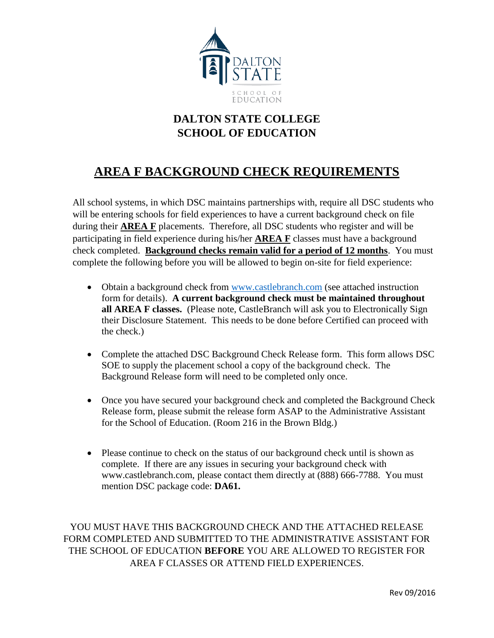

## **DALTON STATE COLLEGE SCHOOL OF EDUCATION**

## **AREA F BACKGROUND CHECK REQUIREMENTS**

All school systems, in which DSC maintains partnerships with, require all DSC students who will be entering schools for field experiences to have a current background check on file during their **AREA F** placements. Therefore, all DSC students who register and will be participating in field experience during his/her **AREA F** classes must have a background check completed. **Background checks remain valid for a period of 12 months**. You must complete the following before you will be allowed to begin on-site for field experience:

- Obtain a background check from [www.castlebranch.com](http://www.castlebranch.com/) (see attached instruction form for details). **A current background check must be maintained throughout all AREA F classes.** (Please note, CastleBranch will ask you to Electronically Sign their Disclosure Statement. This needs to be done before Certified can proceed with the check.)
- Complete the attached DSC Background Check Release form. This form allows DSC SOE to supply the placement school a copy of the background check. The Background Release form will need to be completed only once.
- Once you have secured your background check and completed the Background Check Release form, please submit the release form ASAP to the Administrative Assistant for the School of Education. (Room 216 in the Brown Bldg.)
- Please continue to check on the status of our background check until is shown as complete. If there are any issues in securing your background check with www.castlebranch.com, please contact them directly at (888) 666-7788. You must mention DSC package code: **DA61.**

YOU MUST HAVE THIS BACKGROUND CHECK AND THE ATTACHED RELEASE FORM COMPLETED AND SUBMITTED TO THE ADMINISTRATIVE ASSISTANT FOR THE SCHOOL OF EDUCATION **BEFORE** YOU ARE ALLOWED TO REGISTER FOR AREA F CLASSES OR ATTEND FIELD EXPERIENCES.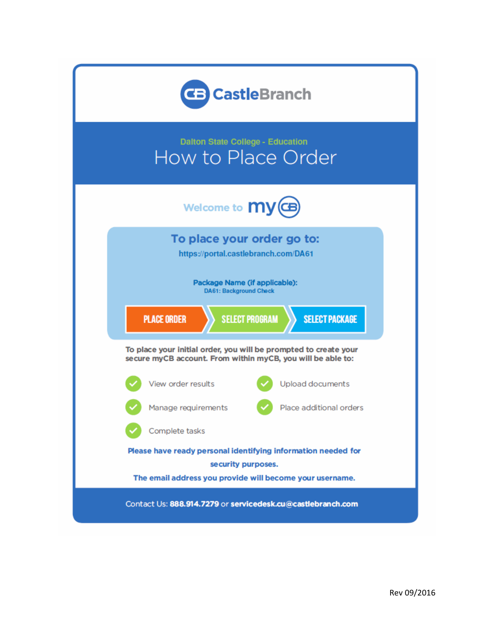